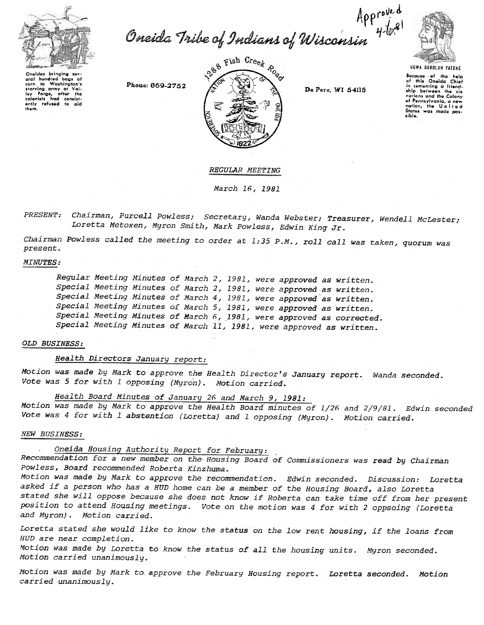

Approved<br>Gneida Tribe of Indians of Wisconsin 4bx



aral hundred bags of oral nunawa aags or<br>corn to Washington's<br>starving army at Val-<br>colonists had consist-<br>only refused to aid<br>them. Washington's

Phone: 869-2752



De Pere, WI 54115

Bocauso of the help<br>of this Oneida Chief in comenting a friend-<br>ship between the six  $the$ nations and the Colony of Pennsylvania, a new<br>nation, the United<br>States was made possible.

**REGULAR MEETING** 

March 16, 1981

PRESENT: Chairman, Purcell Powless; Secretary, Wanda Webster; Treasurer, Wendell McLester; Loretta Metoxen, Myron Smith, Mark Powless, Edwin King Jr.

Chairman Powless called the meeting to order at 1:35 P.M., roll call was taken, quorum was present.

### **MINUTES:**

Regular Meeting Minutes of March 2, 1981, were approved as written. Special Meeting Minutes of March 2, 1981, were approved as written. Special Meeting Minutes of March 4, 1981, were approved as written. Special Meeting Minutes of March 5, 1981, were approved as written. Special Meeting Minutes of March 6, 1981, were approved as corrected. Special Meeting Minutes of March 11, 1981, were approved as written.

### OLD BUSINESS:

Health Directors January report:

Motion was made by Mark to approve the Health Director's January report. Wanda seconded. Vote was 5 for with 1 opposing (Myron). Motion carried.

Health Board Minutes of January 26 and March 9, 1981:

Motion was made by Mark to approve the Health Board minutes of 1/26 and 2/9/81. Edwin seconded Vote was 4 for with 1 abstention (Loretta) and 1 opposing (Myron). Motion carried.

### NEW BUSINESS:

Oneida Housing Authority Report for February:

Recommendation for a new member on the Housing Board of Commissioners was read by Chairman Powless, Board recommended Roberta Kinzhuma.

Motion was made by Mark to approve the recommendation. Edwin seconded. Discussion: Loretta asked if a person who has a HUD home can be a member of the Housing Board, also Loretta stated she will oppose because she does not know if Roberta can take time off from her present position to attend Housing meetings. Vote on the motion was 4 for with 2 oppsoing (Loretta and Myron). Motion carried.

Loretta stated she would like to know the status on the low rent housing, if the loans from HUD are near completion.

Motion was made by Loretta to know the status of all the housing units. Myron seconded. Motion carried unanimouslu.

Motion was made by Mark to approve the February Housing report. Loretta seconded. Motion carried unanimously.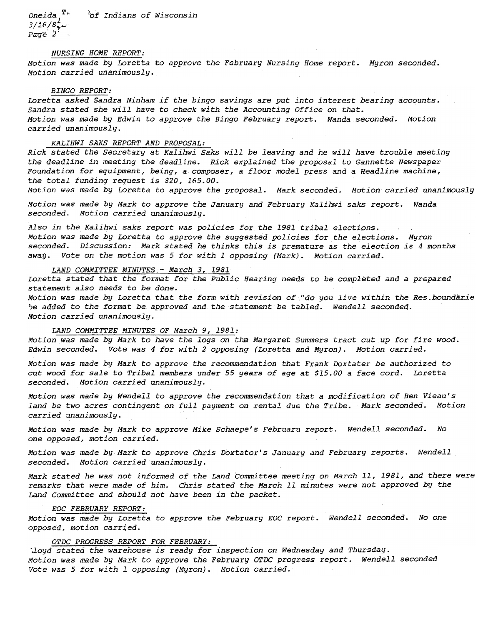Oneida T...  $3/16/8$ ;  $P$  $q$  $q$  $e$   $2'$  ... '\of Indians of Wisconsin

### NURSING HOME REPORT:

Motion was made by Loretta to approve the February Nursing Home report. Myron seconde Motion carried unanimously.

### BINGO REPORT:

Loretta asked Sandra Ninham if the bingo savings are put into interest bearing accounts. Sandra stated she will have to check with the Accounting Office on that. Motion was made by Edwin to approve the Bingo February report. Wanda seconded. Motion carried unanimously.

### KALIHWI SAKS REPORT AND PROPOSAL:

Rick stated the Secretary at Kalihwi Saks will be leaving and he will have trouble meeting the deadline in meeting the deadline. Rick explained the proposal to Gannette Newspaper Foundation for equipment, being, a composer, a floor model press and a Headline machine, the total funding request is \$20, 165.00.

Motion was made by Loretta to approve the proposal. Mark seconded. Motion carried unanimously

Motion was made by Mark to approve the January and February Kalihwi saks report. Wanda seconded. Motion carried unanimously.

Also in the Kalihwi saks report was policies for the 1981 tribal elections. Motion was made by Loretta to approve the suggested policies for the elections. Myron seconded. Discussion: Mark stated he thinks this is premature as the election is 4 months away. Vote on the motion was 5 for with 1 opposing (Mark). Motion carried.

# <u>LAND COMMITTEE MINUTES - March 3, 1981.</u>

Loretta stated that the format for the Public Hearing needs to be completed and a prepared statement also needs to be done.

Motion was made by Loretta that the form with revision of "do you live within the Res.boundarie be added to the format be approved and the statement be tabled. Wendell seconded. Motion carried unanimously.

### LAND COMMITTEE MINUTES OF March 9, 1981:

Motion was made by Mark to have the logs on the Margaret Summers tract cut up for fire wood. Edwin seconded. Vote was 4 for with 2 opposing (Loretta and Myron). Motion carried.

Motion was made by Mark to approve the recommendation that Frank Doxtater be authorized to cut wood for sale to Tribal members under 55 years of age at \$15.00 a face cord. Loretta seconded. Motion carried unanimously.

Motion was made by Wendell to approve the recommendation that a modification of Ben Vieau's land be two acres contingent on full payment on rental due the Tribe. Mark seconded. Motion carried unanimously.

Motion was made by Mark to approve Mike Schaepe's Februaru report. Wendell seconded. No one opposed, motion carried.

Motion was made by Mark to approve Chris Doxtator's January and February reports. Wendell seconded. Motion carried unanimously.

Mark stated he was not informed of the Land Committee meeting on March 11, 1981, and there were remarks that were made of him. Chris stated the March 11 minutes were not approved by the Land Committee and should not have been in the packet.

#### EOC FEBRUARY REPORT:

Motion was made by Loretta to approve the February EOC report. Wendell seconded. No one opposed, motion carried.

## OTDC PROGRESS REPORT FOR FEBRUARY:

-,loyd stated the warehouse is ready for inspection on Wednesday and Thursday. Motion was made by Mark to approve the February OTDC progress report. Wendell seconded Vote was 5 for with 1 opposing (Myron). Motion carried.